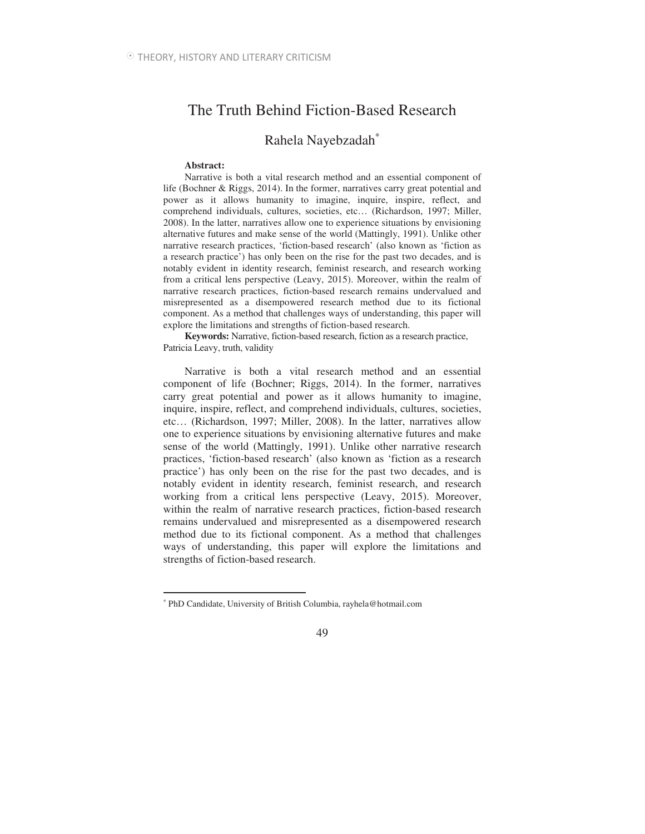# The Truth Behind Fiction-Based Research

## Rahela Nayebzadah<sup>∗</sup>

### **Abstract:**

 $\overline{a}$ 

Narrative is both a vital research method and an essential component of life (Bochner & Riggs, 2014). In the former, narratives carry great potential and power as it allows humanity to imagine, inquire, inspire, reflect, and comprehend individuals, cultures, societies, etc… (Richardson, 1997; Miller, 2008). In the latter, narratives allow one to experience situations by envisioning alternative futures and make sense of the world (Mattingly, 1991). Unlike other narrative research practices, 'fiction-based research' (also known as 'fiction as a research practice') has only been on the rise for the past two decades, and is notably evident in identity research, feminist research, and research working from a critical lens perspective (Leavy, 2015). Moreover, within the realm of narrative research practices, fiction-based research remains undervalued and misrepresented as a disempowered research method due to its fictional component. As a method that challenges ways of understanding, this paper will explore the limitations and strengths of fiction-based research.

**Keywords:** Narrative, fiction-based research, fiction as a research practice, Patricia Leavy, truth, validity

Narrative is both a vital research method and an essential component of life (Bochner; Riggs, 2014). In the former, narratives carry great potential and power as it allows humanity to imagine, inquire, inspire, reflect, and comprehend individuals, cultures, societies, etc… (Richardson, 1997; Miller, 2008). In the latter, narratives allow one to experience situations by envisioning alternative futures and make sense of the world (Mattingly, 1991). Unlike other narrative research practices, 'fiction-based research' (also known as 'fiction as a research practice') has only been on the rise for the past two decades, and is notably evident in identity research, feminist research, and research working from a critical lens perspective (Leavy, 2015). Moreover, within the realm of narrative research practices, fiction-based research remains undervalued and misrepresented as a disempowered research method due to its fictional component. As a method that challenges ways of understanding, this paper will explore the limitations and strengths of fiction-based research.

<sup>∗</sup> PhD Candidate, University of British Columbia, rayhela@hotmail.com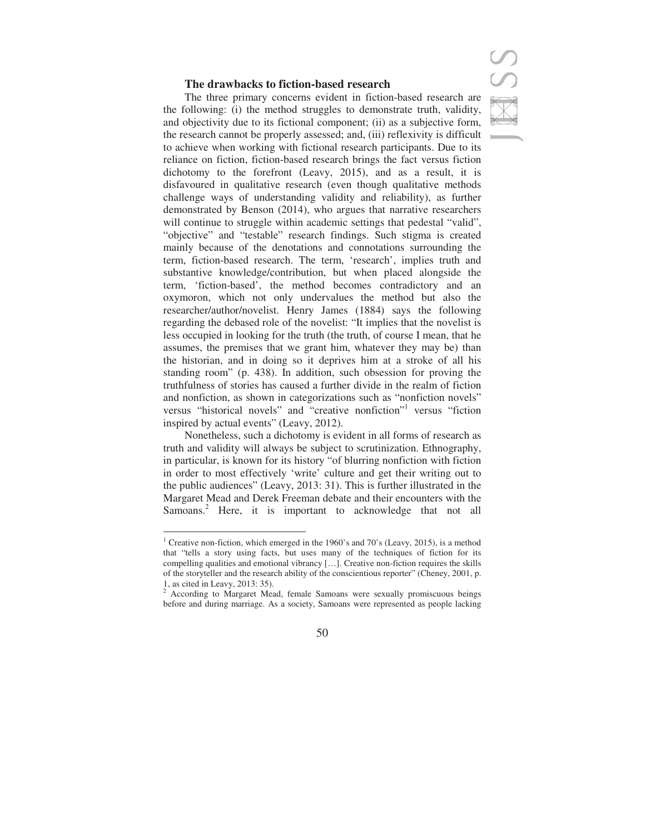### **The drawbacks to fiction-based research**



The three primary concerns evident in fiction-based research are the following: (i) the method struggles to demonstrate truth, validity, and objectivity due to its fictional component; (ii) as a subjective form, the research cannot be properly assessed; and, (iii) reflexivity is difficult to achieve when working with fictional research participants. Due to its reliance on fiction, fiction-based research brings the fact versus fiction dichotomy to the forefront (Leavy, 2015), and as a result, it is disfavoured in qualitative research (even though qualitative methods challenge ways of understanding validity and reliability), as further demonstrated by Benson (2014), who argues that narrative researchers will continue to struggle within academic settings that pedestal "valid", "objective" and "testable" research findings. Such stigma is created mainly because of the denotations and connotations surrounding the term, fiction-based research. The term, 'research', implies truth and substantive knowledge/contribution, but when placed alongside the term, 'fiction-based', the method becomes contradictory and an oxymoron, which not only undervalues the method but also the researcher/author/novelist. Henry James (1884) says the following regarding the debased role of the novelist: "It implies that the novelist is less occupied in looking for the truth (the truth, of course I mean, that he assumes, the premises that we grant him, whatever they may be) than the historian, and in doing so it deprives him at a stroke of all his standing room" (p. 438). In addition, such obsession for proving the truthfulness of stories has caused a further divide in the realm of fiction and nonfiction, as shown in categorizations such as "nonfiction novels" versus "historical novels" and "creative nonfiction" versus "fiction inspired by actual events" (Leavy, 2012).

Nonetheless, such a dichotomy is evident in all forms of research as truth and validity will always be subject to scrutinization. Ethnography, in particular, is known for its history "of blurring nonfiction with fiction in order to most effectively 'write' culture and get their writing out to the public audiences" (Leavy, 2013: 31). This is further illustrated in the Margaret Mead and Derek Freeman debate and their encounters with the Samoans.<sup>2</sup> Here, it is important to acknowledge that not all

 $\overline{a}$ 

<sup>&</sup>lt;sup>2</sup> According to Margaret Mead, female Samoans were sexually promiscuous beings before and during marriage. As a society, Samoans were represented as people lacking



<sup>&</sup>lt;sup>1</sup> Creative non-fiction, which emerged in the 1960's and 70's (Leavy, 2015), is a method that "tells a story using facts, but uses many of the techniques of fiction for its compelling qualities and emotional vibrancy […]. Creative non-fiction requires the skills of the storyteller and the research ability of the conscientious reporter" (Cheney, 2001, p. 1, as cited in Leavy, 2013: 35).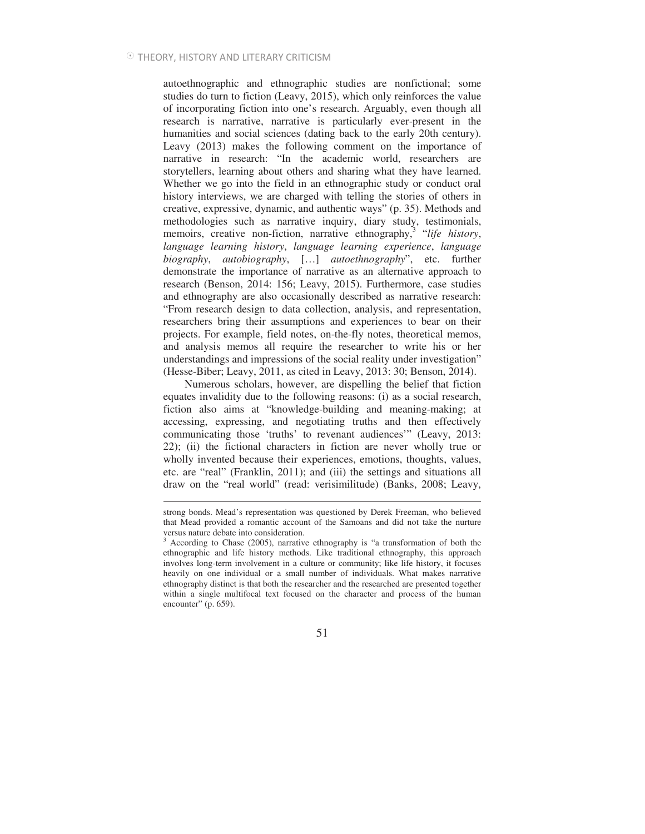$\overline{a}$ 

autoethnographic and ethnographic studies are nonfictional; some studies do turn to fiction (Leavy, 2015), which only reinforces the value of incorporating fiction into one's research. Arguably, even though all research is narrative, narrative is particularly ever-present in the humanities and social sciences (dating back to the early 20th century). Leavy (2013) makes the following comment on the importance of narrative in research: "In the academic world, researchers are storytellers, learning about others and sharing what they have learned. Whether we go into the field in an ethnographic study or conduct oral history interviews, we are charged with telling the stories of others in creative, expressive, dynamic, and authentic ways" (p. 35). Methods and methodologies such as narrative inquiry, diary study, testimonials, memoirs, creative non-fiction, narrative ethnography, 3 "*life history*, *language learning history*, *language learning experience*, *language biography*, *autobiography*, […] *autoethnography*", etc. further demonstrate the importance of narrative as an alternative approach to research (Benson, 2014: 156; Leavy, 2015). Furthermore, case studies and ethnography are also occasionally described as narrative research: "From research design to data collection, analysis, and representation, researchers bring their assumptions and experiences to bear on their projects. For example, field notes, on-the-fly notes, theoretical memos, and analysis memos all require the researcher to write his or her understandings and impressions of the social reality under investigation" (Hesse-Biber; Leavy, 2011, as cited in Leavy, 2013: 30; Benson, 2014).

Numerous scholars, however, are dispelling the belief that fiction equates invalidity due to the following reasons: (i) as a social research, fiction also aims at "knowledge-building and meaning-making; at accessing, expressing, and negotiating truths and then effectively communicating those 'truths' to revenant audiences'" (Leavy, 2013: 22); (ii) the fictional characters in fiction are never wholly true or wholly invented because their experiences, emotions, thoughts, values, etc. are "real" (Franklin, 2011); and (iii) the settings and situations all draw on the "real world" (read: verisimilitude) (Banks, 2008; Leavy,

strong bonds. Mead's representation was questioned by Derek Freeman, who believed that Mead provided a romantic account of the Samoans and did not take the nurture versus nature debate into consideration.

<sup>&</sup>lt;sup>3</sup> According to Chase (2005), narrative ethnography is "a transformation of both the ethnographic and life history methods. Like traditional ethnography, this approach involves long-term involvement in a culture or community; like life history, it focuses heavily on one individual or a small number of individuals. What makes narrative ethnography distinct is that both the researcher and the researched are presented together within a single multifocal text focused on the character and process of the human encounter" (p. 659).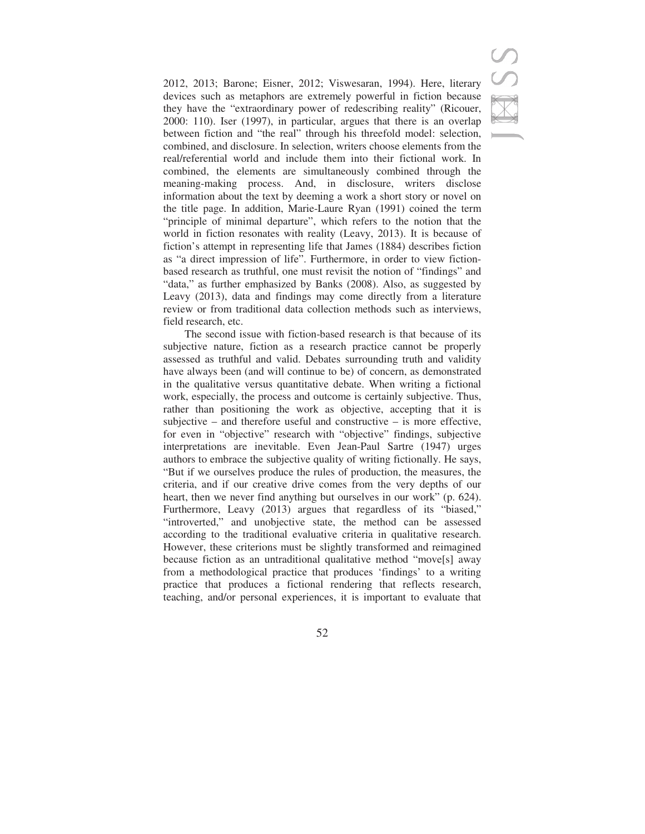2012, 2013; Barone; Eisner, 2012; Viswesaran, 1994). Here, literary devices such as metaphors are extremely powerful in fiction because they have the "extraordinary power of redescribing reality" (Ricouer, 2000: 110). Iser (1997), in particular, argues that there is an overlap between fiction and "the real" through his threefold model: selection, combined, and disclosure. In selection, writers choose elements from the real/referential world and include them into their fictional work. In combined, the elements are simultaneously combined through the meaning-making process. And, in disclosure, writers disclose information about the text by deeming a work a short story or novel on the title page. In addition, Marie-Laure Ryan (1991) coined the term "principle of minimal departure", which refers to the notion that the world in fiction resonates with reality (Leavy, 2013). It is because of fiction's attempt in representing life that James (1884) describes fiction as "a direct impression of life". Furthermore, in order to view fictionbased research as truthful, one must revisit the notion of "findings" and "data," as further emphasized by Banks (2008). Also, as suggested by Leavy (2013), data and findings may come directly from a literature review or from traditional data collection methods such as interviews, field research, etc.

The second issue with fiction-based research is that because of its subjective nature, fiction as a research practice cannot be properly assessed as truthful and valid. Debates surrounding truth and validity have always been (and will continue to be) of concern, as demonstrated in the qualitative versus quantitative debate. When writing a fictional work, especially, the process and outcome is certainly subjective. Thus, rather than positioning the work as objective, accepting that it is subjective – and therefore useful and constructive – is more effective, for even in "objective" research with "objective" findings, subjective interpretations are inevitable. Even Jean-Paul Sartre (1947) urges authors to embrace the subjective quality of writing fictionally. He says, "But if we ourselves produce the rules of production, the measures, the criteria, and if our creative drive comes from the very depths of our heart, then we never find anything but ourselves in our work" (p. 624). Furthermore, Leavy (2013) argues that regardless of its "biased," "introverted," and unobjective state, the method can be assessed according to the traditional evaluative criteria in qualitative research. However, these criterions must be slightly transformed and reimagined because fiction as an untraditional qualitative method "move[s] away from a methodological practice that produces 'findings' to a writing practice that produces a fictional rendering that reflects research, teaching, and/or personal experiences, it is important to evaluate that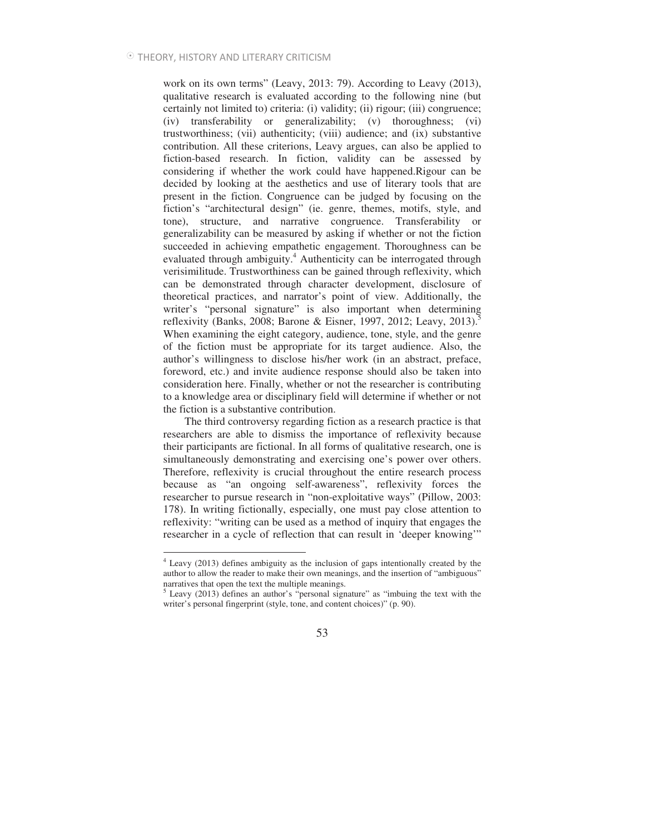work on its own terms" (Leavy, 2013: 79). According to Leavy (2013), qualitative research is evaluated according to the following nine (but certainly not limited to) criteria: (i) validity; (ii) rigour; (iii) congruence; (iv) transferability or generalizability; (v) thoroughness; (vi) trustworthiness; (vii) authenticity; (viii) audience; and (ix) substantive contribution. All these criterions, Leavy argues, can also be applied to fiction-based research. In fiction, validity can be assessed by considering if whether the work could have happened.Rigour can be decided by looking at the aesthetics and use of literary tools that are present in the fiction. Congruence can be judged by focusing on the fiction's "architectural design" (ie. genre, themes, motifs, style, and tone), structure, and narrative congruence. Transferability or generalizability can be measured by asking if whether or not the fiction succeeded in achieving empathetic engagement. Thoroughness can be evaluated through ambiguity.<sup>4</sup> Authenticity can be interrogated through verisimilitude. Trustworthiness can be gained through reflexivity, which can be demonstrated through character development, disclosure of theoretical practices, and narrator's point of view. Additionally, the writer's "personal signature" is also important when determining reflexivity (Banks, 2008; Barone & Eisner, 1997, 2012; Leavy, 2013).<sup>5</sup> When examining the eight category, audience, tone, style, and the genre of the fiction must be appropriate for its target audience. Also, the author's willingness to disclose his/her work (in an abstract, preface, foreword, etc.) and invite audience response should also be taken into consideration here. Finally, whether or not the researcher is contributing to a knowledge area or disciplinary field will determine if whether or not the fiction is a substantive contribution.

The third controversy regarding fiction as a research practice is that researchers are able to dismiss the importance of reflexivity because their participants are fictional. In all forms of qualitative research, one is simultaneously demonstrating and exercising one's power over others. Therefore, reflexivity is crucial throughout the entire research process because as "an ongoing self-awareness", reflexivity forces the researcher to pursue research in "non-exploitative ways" (Pillow, 2003: 178). In writing fictionally, especially, one must pay close attention to reflexivity: "writing can be used as a method of inquiry that engages the researcher in a cycle of reflection that can result in 'deeper knowing'"

 4 Leavy (2013) defines ambiguity as the inclusion of gaps intentionally created by the author to allow the reader to make their own meanings, and the insertion of "ambiguous" narratives that open the text the multiple meanings.

<sup>&</sup>lt;sup>5</sup> Leavy (2013) defines an author's "personal signature" as "imbuing the text with the writer's personal fingerprint (style, tone, and content choices)" (p. 90).

<sup>53</sup>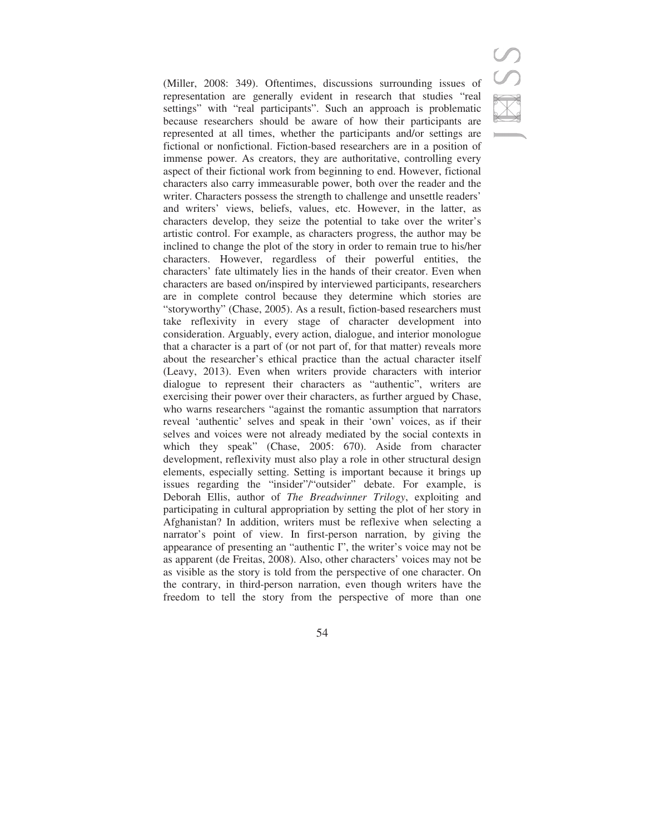(Miller, 2008: 349). Oftentimes, discussions surrounding issues of representation are generally evident in research that studies "real settings" with "real participants". Such an approach is problematic because researchers should be aware of how their participants are represented at all times, whether the participants and/or settings are fictional or nonfictional. Fiction-based researchers are in a position of immense power. As creators, they are authoritative, controlling every aspect of their fictional work from beginning to end. However, fictional characters also carry immeasurable power, both over the reader and the writer. Characters possess the strength to challenge and unsettle readers' and writers' views, beliefs, values, etc. However, in the latter, as characters develop, they seize the potential to take over the writer's artistic control. For example, as characters progress, the author may be inclined to change the plot of the story in order to remain true to his/her characters. However, regardless of their powerful entities, the characters' fate ultimately lies in the hands of their creator. Even when characters are based on/inspired by interviewed participants, researchers are in complete control because they determine which stories are "storyworthy" (Chase, 2005). As a result, fiction-based researchers must take reflexivity in every stage of character development into consideration. Arguably, every action, dialogue, and interior monologue that a character is a part of (or not part of, for that matter) reveals more about the researcher's ethical practice than the actual character itself (Leavy, 2013). Even when writers provide characters with interior dialogue to represent their characters as "authentic", writers are exercising their power over their characters, as further argued by Chase, who warns researchers "against the romantic assumption that narrators reveal 'authentic' selves and speak in their 'own' voices, as if their selves and voices were not already mediated by the social contexts in which they speak" (Chase, 2005: 670). Aside from character development, reflexivity must also play a role in other structural design elements, especially setting. Setting is important because it brings up issues regarding the "insider"/"outsider" debate. For example, is Deborah Ellis, author of *The Breadwinner Trilogy*, exploiting and participating in cultural appropriation by setting the plot of her story in Afghanistan? In addition, writers must be reflexive when selecting a narrator's point of view. In first-person narration, by giving the appearance of presenting an "authentic I", the writer's voice may not be as apparent (de Freitas, 2008). Also, other characters' voices may not be as visible as the story is told from the perspective of one character. On the contrary, in third-person narration, even though writers have the freedom to tell the story from the perspective of more than one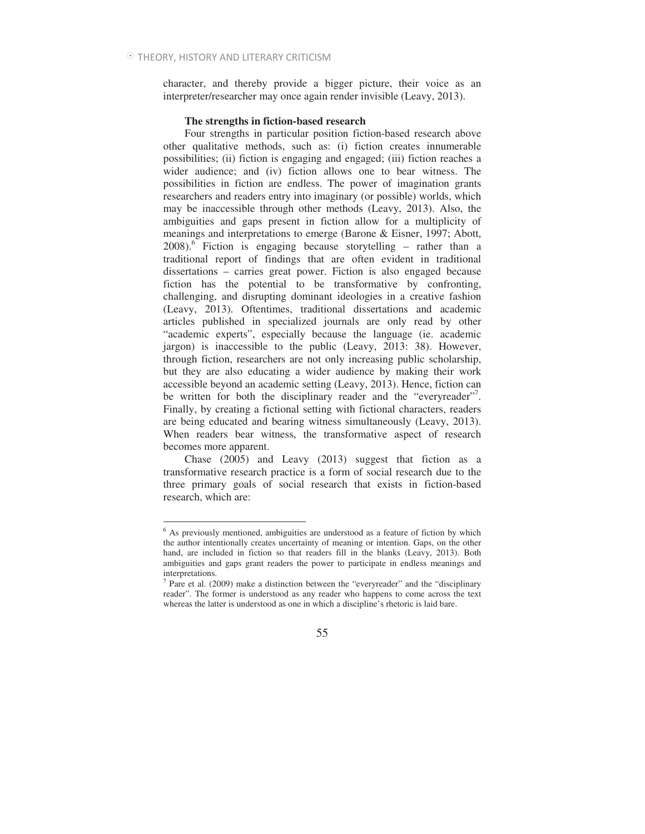character, and thereby provide a bigger picture, their voice as an interpreter/researcher may once again render invisible (Leavy, 2013).

### **The strengths in fiction-based research**

Four strengths in particular position fiction-based research above other qualitative methods, such as: (i) fiction creates innumerable possibilities; (ii) fiction is engaging and engaged; (iii) fiction reaches a wider audience; and (iv) fiction allows one to bear witness. The possibilities in fiction are endless. The power of imagination grants researchers and readers entry into imaginary (or possible) worlds, which may be inaccessible through other methods (Leavy, 2013). Also, the ambiguities and gaps present in fiction allow for a multiplicity of meanings and interpretations to emerge (Barone & Eisner, 1997; Abott, 2008).<sup>6</sup> Fiction is engaging because storytelling – rather than a traditional report of findings that are often evident in traditional dissertations – carries great power. Fiction is also engaged because fiction has the potential to be transformative by confronting, challenging, and disrupting dominant ideologies in a creative fashion (Leavy, 2013). Oftentimes, traditional dissertations and academic articles published in specialized journals are only read by other "academic experts", especially because the language (ie. academic jargon) is inaccessible to the public (Leavy, 2013: 38). However, through fiction, researchers are not only increasing public scholarship, but they are also educating a wider audience by making their work accessible beyond an academic setting (Leavy, 2013). Hence, fiction can be written for both the disciplinary reader and the "everyreader"<sup>7</sup>. Finally, by creating a fictional setting with fictional characters, readers are being educated and bearing witness simultaneously (Leavy, 2013). When readers bear witness, the transformative aspect of research becomes more apparent.

Chase (2005) and Leavy (2013) suggest that fiction as a transformative research practice is a form of social research due to the three primary goals of social research that exists in fiction-based research, which are:

 6 As previously mentioned, ambiguities are understood as a feature of fiction by which the author intentionally creates uncertainty of meaning or intention. Gaps, on the other hand, are included in fiction so that readers fill in the blanks (Leavy, 2013). Both ambiguities and gaps grant readers the power to participate in endless meanings and interpretations.

<sup>&</sup>lt;sup>7</sup> Pare et al. (2009) make a distinction between the "everyreader" and the "disciplinary reader". The former is understood as any reader who happens to come across the text whereas the latter is understood as one in which a discipline's rhetoric is laid bare.

<sup>55</sup>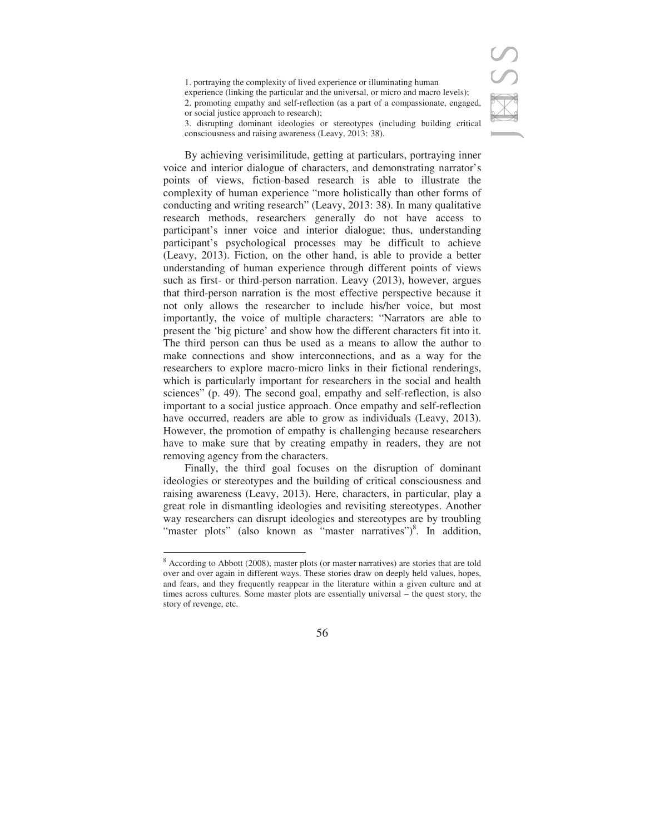1. portraying the complexity of lived experience or illuminating human

experience (linking the particular and the universal, or micro and macro levels); 2. promoting empathy and self-reflection (as a part of a compassionate, engaged,

3. disrupting dominant ideologies or stereotypes (including building critical consciousness and raising awareness (Leavy, 2013: 38).

By achieving verisimilitude, getting at particulars, portraying inner voice and interior dialogue of characters, and demonstrating narrator's points of views, fiction-based research is able to illustrate the complexity of human experience "more holistically than other forms of conducting and writing research" (Leavy, 2013: 38). In many qualitative research methods, researchers generally do not have access to participant's inner voice and interior dialogue; thus, understanding participant's psychological processes may be difficult to achieve (Leavy, 2013). Fiction, on the other hand, is able to provide a better understanding of human experience through different points of views such as first- or third-person narration. Leavy (2013), however, argues that third-person narration is the most effective perspective because it not only allows the researcher to include his/her voice, but most importantly, the voice of multiple characters: "Narrators are able to present the 'big picture' and show how the different characters fit into it. The third person can thus be used as a means to allow the author to make connections and show interconnections, and as a way for the researchers to explore macro-micro links in their fictional renderings, which is particularly important for researchers in the social and health sciences" (p. 49). The second goal, empathy and self-reflection, is also important to a social justice approach. Once empathy and self-reflection have occurred, readers are able to grow as individuals (Leavy, 2013). However, the promotion of empathy is challenging because researchers have to make sure that by creating empathy in readers, they are not removing agency from the characters.

Finally, the third goal focuses on the disruption of dominant ideologies or stereotypes and the building of critical consciousness and raising awareness (Leavy, 2013). Here, characters, in particular, play a great role in dismantling ideologies and revisiting stereotypes. Another way researchers can disrupt ideologies and stereotypes are by troubling "master plots" (also known as "master narratives")<sup>8</sup>. In addition,

 $\overline{a}$ 



or social justice approach to research);

<sup>&</sup>lt;sup>8</sup> According to Abbott (2008), master plots (or master narratives) are stories that are told over and over again in different ways. These stories draw on deeply held values, hopes, and fears, and they frequently reappear in the literature within a given culture and at times across cultures. Some master plots are essentially universal – the quest story, the story of revenge, etc.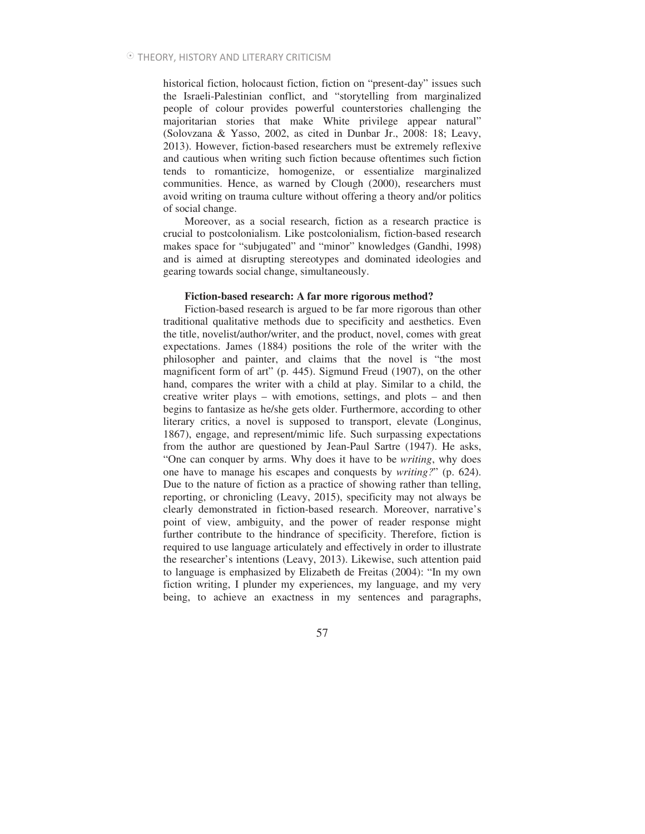historical fiction, holocaust fiction, fiction on "present-day" issues such the Israeli-Palestinian conflict, and "storytelling from marginalized people of colour provides powerful counterstories challenging the majoritarian stories that make White privilege appear natural" (Solovzana & Yasso, 2002, as cited in Dunbar Jr., 2008: 18; Leavy, 2013). However, fiction-based researchers must be extremely reflexive and cautious when writing such fiction because oftentimes such fiction tends to romanticize, homogenize, or essentialize marginalized communities. Hence, as warned by Clough (2000), researchers must avoid writing on trauma culture without offering a theory and/or politics of social change.

Moreover, as a social research, fiction as a research practice is crucial to postcolonialism. Like postcolonialism, fiction-based research makes space for "subjugated" and "minor" knowledges (Gandhi, 1998) and is aimed at disrupting stereotypes and dominated ideologies and gearing towards social change, simultaneously.

### **Fiction-based research: A far more rigorous method?**

Fiction-based research is argued to be far more rigorous than other traditional qualitative methods due to specificity and aesthetics. Even the title, novelist/author/writer, and the product, novel, comes with great expectations. James (1884) positions the role of the writer with the philosopher and painter, and claims that the novel is "the most magnificent form of art" (p. 445). Sigmund Freud (1907), on the other hand, compares the writer with a child at play. Similar to a child, the creative writer plays – with emotions, settings, and plots – and then begins to fantasize as he/she gets older. Furthermore, according to other literary critics, a novel is supposed to transport, elevate (Longinus, 1867), engage, and represent/mimic life. Such surpassing expectations from the author are questioned by Jean-Paul Sartre (1947). He asks, "One can conquer by arms. Why does it have to be *writing*, why does one have to manage his escapes and conquests by *writing?*" (p. 624). Due to the nature of fiction as a practice of showing rather than telling, reporting, or chronicling (Leavy, 2015), specificity may not always be clearly demonstrated in fiction-based research. Moreover, narrative's point of view, ambiguity, and the power of reader response might further contribute to the hindrance of specificity. Therefore, fiction is required to use language articulately and effectively in order to illustrate the researcher's intentions (Leavy, 2013). Likewise, such attention paid to language is emphasized by Elizabeth de Freitas (2004): "In my own fiction writing, I plunder my experiences, my language, and my very being, to achieve an exactness in my sentences and paragraphs,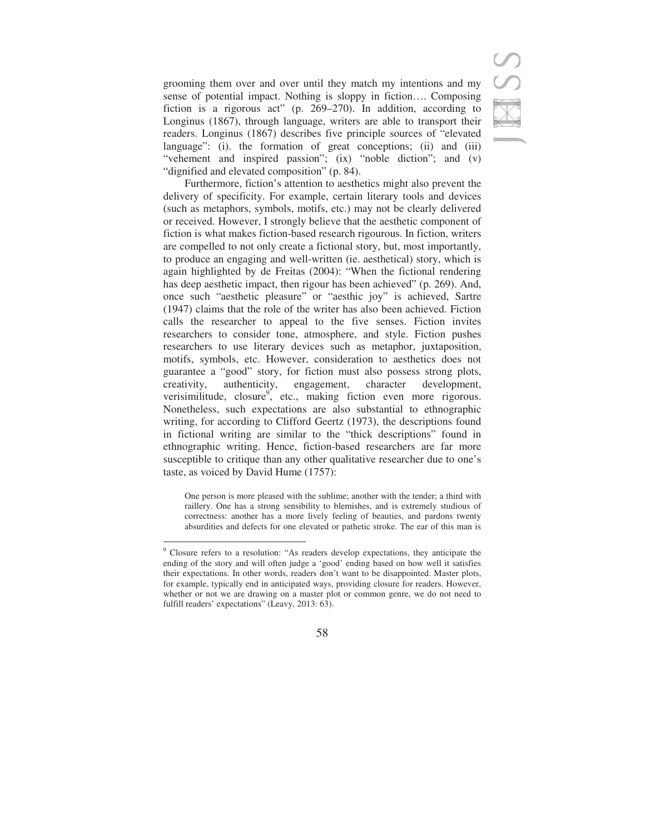grooming them over and over until they match my intentions and my sense of potential impact. Nothing is sloppy in fiction…. Composing fiction is a rigorous act" (p. 269–270). In addition, according to Longinus (1867), through language, writers are able to transport their readers. Longinus (1867) describes five principle sources of "elevated language": (i). the formation of great conceptions; (ii) and (iii) "vehement and inspired passion"; (ix) "noble diction"; and (v) "dignified and elevated composition" (p. 84).

Furthermore, fiction's attention to aesthetics might also prevent the delivery of specificity. For example, certain literary tools and devices (such as metaphors, symbols, motifs, etc.) may not be clearly delivered or received. However, I strongly believe that the aesthetic component of fiction is what makes fiction-based research rigourous. In fiction, writers are compelled to not only create a fictional story, but, most importantly, to produce an engaging and well-written (ie. aesthetical) story, which is again highlighted by de Freitas (2004): "When the fictional rendering has deep aesthetic impact, then rigour has been achieved" (p. 269). And, once such "aesthetic pleasure" or "aesthic joy" is achieved, Sartre (1947) claims that the role of the writer has also been achieved. Fiction calls the researcher to appeal to the five senses. Fiction invites researchers to consider tone, atmosphere, and style. Fiction pushes researchers to use literary devices such as metaphor, juxtaposition, motifs, symbols, etc. However, consideration to aesthetics does not guarantee a "good" story, for fiction must also possess strong plots, creativity, authenticity, engagement, character development, verisimilitude, closure<sup>9</sup>, etc., making fiction even more rigorous. Nonetheless, such expectations are also substantial to ethnographic writing, for according to Clifford Geertz (1973), the descriptions found in fictional writing are similar to the "thick descriptions" found in ethnographic writing. Hence, fiction-based researchers are far more susceptible to critique than any other qualitative researcher due to one's taste, as voiced by David Hume (1757):

One person is more pleased with the sublime; another with the tender; a third with raillery. One has a strong sensibility to blemishes, and is extremely studious of correctness: another has a more lively feeling of beauties, and pardons twenty absurdities and defects for one elevated or pathetic stroke. The ear of this man is

 9 Closure refers to a resolution: "As readers develop expectations, they anticipate the ending of the story and will often judge a 'good' ending based on how well it satisfies their expectations. In other words, readers don't want to be disappointed. Master plots, for example, typically end in anticipated ways, providing closure for readers. However, whether or not we are drawing on a master plot or common genre, we do not need to fulfill readers' expectations" (Leavy, 2013: 63).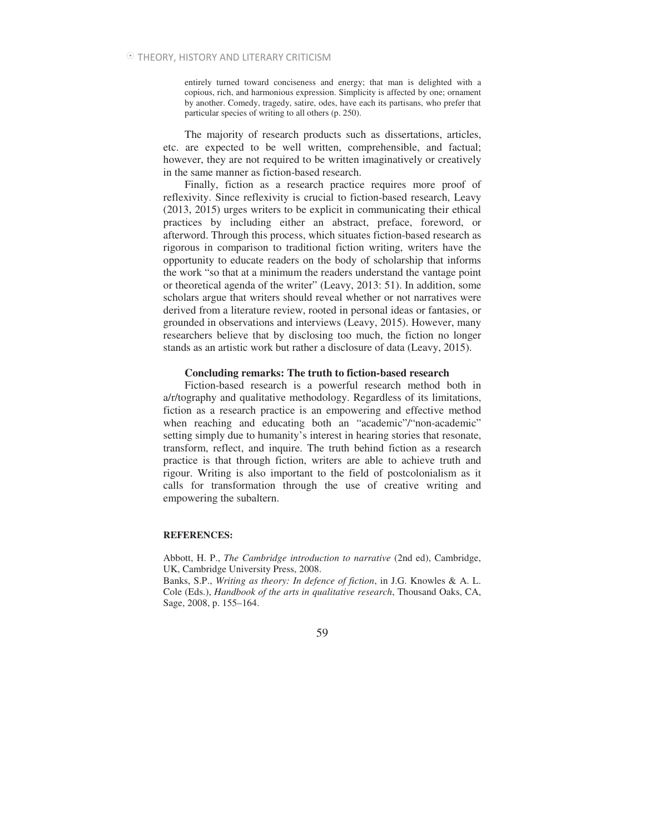entirely turned toward conciseness and energy; that man is delighted with a copious, rich, and harmonious expression. Simplicity is affected by one; ornament by another. Comedy, tragedy, satire, odes, have each its partisans, who prefer that particular species of writing to all others (p. 250).

The majority of research products such as dissertations, articles, etc. are expected to be well written, comprehensible, and factual; however, they are not required to be written imaginatively or creatively in the same manner as fiction-based research.

Finally, fiction as a research practice requires more proof of reflexivity. Since reflexivity is crucial to fiction-based research, Leavy (2013, 2015) urges writers to be explicit in communicating their ethical practices by including either an abstract, preface, foreword, or afterword. Through this process, which situates fiction-based research as rigorous in comparison to traditional fiction writing, writers have the opportunity to educate readers on the body of scholarship that informs the work "so that at a minimum the readers understand the vantage point or theoretical agenda of the writer" (Leavy, 2013: 51). In addition, some scholars argue that writers should reveal whether or not narratives were derived from a literature review, rooted in personal ideas or fantasies, or grounded in observations and interviews (Leavy, 2015). However, many researchers believe that by disclosing too much, the fiction no longer stands as an artistic work but rather a disclosure of data (Leavy, 2015).

### **Concluding remarks: The truth to fiction-based research**

Fiction-based research is a powerful research method both in a/r/tography and qualitative methodology. Regardless of its limitations, fiction as a research practice is an empowering and effective method when reaching and educating both an "academic"/"non-academic" setting simply due to humanity's interest in hearing stories that resonate, transform, reflect, and inquire. The truth behind fiction as a research practice is that through fiction, writers are able to achieve truth and rigour. Writing is also important to the field of postcolonialism as it calls for transformation through the use of creative writing and empowering the subaltern.

### **REFERENCES:**

Abbott, H. P., *The Cambridge introduction to narrative* (2nd ed), Cambridge, UK, Cambridge University Press, 2008.

Banks, S.P., *Writing as theory: In defence of fiction*, in J.G. Knowles & A. L. Cole (Eds.), *Handbook of the arts in qualitative research*, Thousand Oaks, CA, Sage, 2008, p. 155–164.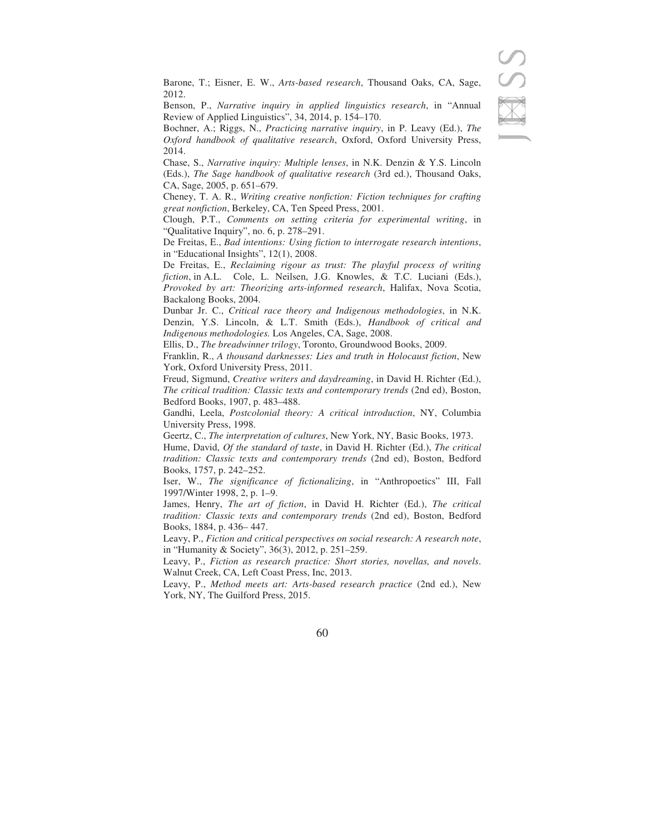Barone, T.; Eisner, E. W., *Arts-based research*, Thousand Oaks, CA, Sage, 2012.

Benson, P., *Narrative inquiry in applied linguistics research*, in "Annual Review of Applied Linguistics", 34, 2014, p. 154–170.

Bochner, A.; Riggs, N., *Practicing narrative inquiry*, in P. Leavy (Ed.), *The Oxford handbook of qualitative research*, Oxford, Oxford University Press, 2014.

Chase, S., *Narrative inquiry: Multiple lenses*, in N.K. Denzin & Y.S. Lincoln (Eds.), *The Sage handbook of qualitative research* (3rd ed.), Thousand Oaks, CA, Sage, 2005, p. 651–679.

Cheney, T. A. R., *Writing creative nonfiction: Fiction techniques for crafting great nonfiction*, Berkeley, CA, Ten Speed Press, 2001.

Clough, P.T., *Comments on setting criteria for experimental writing*, in "Qualitative Inquiry", no. 6, p. 278–291.

De Freitas, E., *Bad intentions: Using fiction to interrogate research intentions*, in "Educational Insights", 12(1), 2008.

De Freitas, E., *Reclaiming rigour as trust: The playful process of writing fiction*, in A.L. Cole, L. Neilsen, J.G. Knowles, & T.C. Luciani (Eds.), *Provoked by art: Theorizing arts-informed research*, Halifax, Nova Scotia, Backalong Books, 2004.

Dunbar Jr. C., *Critical race theory and Indigenous methodologies*, in N.K. Denzin, Y.S. Lincoln, & L.T. Smith (Eds.), *Handbook of critical and Indigenous methodologies.* Los Angeles, CA, Sage, 2008.

Ellis, D., *The breadwinner trilogy*, Toronto, Groundwood Books, 2009.

Franklin, R., *A thousand darknesses: Lies and truth in Holocaust fiction*, New York, Oxford University Press, 2011.

Freud, Sigmund, *Creative writers and daydreaming*, in David H. Richter (Ed.), *The critical tradition: Classic texts and contemporary trends* (2nd ed), Boston, Bedford Books, 1907, p. 483–488.

Gandhi, Leela, *Postcolonial theory: A critical introduction*, NY, Columbia University Press, 1998.

Geertz, C., *The interpretation of cultures*, New York, NY, Basic Books, 1973.

Hume, David, *Of the standard of taste*, in David H. Richter (Ed.), *The critical tradition: Classic texts and contemporary trends* (2nd ed), Boston, Bedford Books, 1757, p. 242–252.

Iser, W., *The significance of fictionalizing*, in "Anthropoetics" III, Fall 1997/Winter 1998, 2, p. 1–9.

James, Henry, *The art of fiction*, in David H. Richter (Ed.), *The critical tradition: Classic texts and contemporary trends* (2nd ed), Boston, Bedford Books, 1884, p. 436– 447.

Leavy, P., *Fiction and critical perspectives on social research: A research note*, in "Humanity & Society", 36(3), 2012, p. 251–259.

Leavy, P., *Fiction as research practice: Short stories, novellas, and novels*. Walnut Creek, CA, Left Coast Press, Inc, 2013.

Leavy, P., *Method meets art: Arts-based research practice* (2nd ed.), New York, NY, The Guilford Press, 2015.